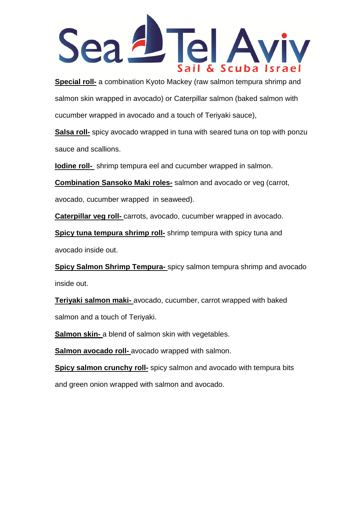

**Special roll-** a combination Kyoto Mackey (raw salmon tempura shrimp and salmon skin wrapped in avocado) or Caterpillar salmon (baked salmon with cucumber wrapped in avocado and a touch of Teriyaki sauce),

**Salsa roll-** spicy avocado wrapped in tuna with seared tuna on top with ponzu sauce and scallions.

**Iodine roll-** shrimp tempura eel and cucumber wrapped in salmon.

**Combination Sansoko Maki roles-** salmon and avocado or veg (carrot,

avocado, cucumber wrapped in seaweed).

**Caterpillar veg roll-** carrots, avocado, cucumber wrapped in avocado.

**Spicy tuna tempura shrimp roll-** shrimp tempura with spicy tuna and avocado inside out.

**Spicy Salmon Shrimp Tempura-** spicy salmon tempura shrimp and avocado inside out.

**Teriyaki salmon maki-** avocado, cucumber, carrot wrapped with baked salmon and a touch of Teriyaki.

**Salmon skin-** a blend of salmon skin with vegetables.

**Salmon avocado roll-** avocado wrapped with salmon.

**Spicy salmon crunchy roll-** spicy salmon and avocado with tempura bits and green onion wrapped with salmon and avocado.